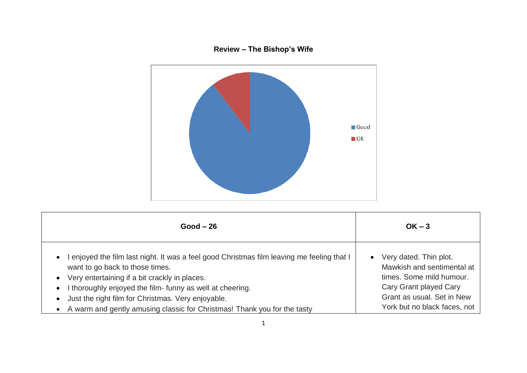## **Review – The Bishop's Wife**



| $Good - 26$                                                                                                                                                                                                                                                                                                                                                                                                                                    | $OK - 3$                                                                                                                                                                 |
|------------------------------------------------------------------------------------------------------------------------------------------------------------------------------------------------------------------------------------------------------------------------------------------------------------------------------------------------------------------------------------------------------------------------------------------------|--------------------------------------------------------------------------------------------------------------------------------------------------------------------------|
| I enjoyed the film last night. It was a feel good Christmas film leaving me feeling that I<br>$\bullet$<br>want to go back to those times.<br>Very entertaining if a bit crackly in places.<br>$\bullet$<br>I thoroughly enjoyed the film- funny as well at cheering.<br>$\bullet$<br>Just the right film for Christmas. Very enjoyable.<br>$\bullet$<br>A warm and gently amusing classic for Christmas! Thank you for the tasty<br>$\bullet$ | Very dated. Thin plot.<br>Mawkish and sentimental at<br>times. Some mild humour.<br>Cary Grant played Cary<br>Grant as usual. Set in New<br>York but no black faces, not |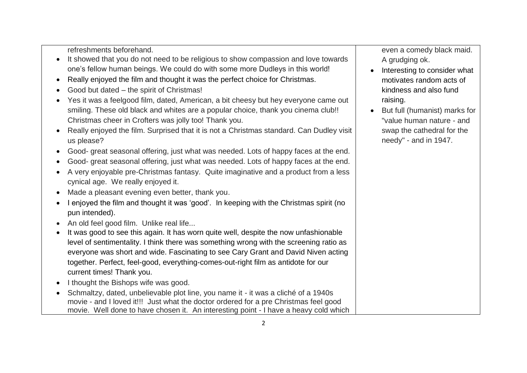refreshments beforehand.

- It showed that you do not need to be religious to show compassion and love towards one's fellow human beings. We could do with some more Dudleys in this world!
- Really enjoyed the film and thought it was the perfect choice for Christmas.
- Good but dated the spirit of Christmas!
- Yes it was a feelgood film, dated, American, a bit cheesy but hey everyone came out smiling. These old black and whites are a popular choice, thank you cinema club!! Christmas cheer in Crofters was jolly too! Thank you.
- Really enjoyed the film. Surprised that it is not a Christmas standard. Can Dudley visit us please?
- Good- great seasonal offering, just what was needed. Lots of happy faces at the end.
- Good- great seasonal offering, just what was needed. Lots of happy faces at the end.
- A very enjoyable pre-Christmas fantasy. Quite imaginative and a product from a less cynical age. We really enjoyed it.
- Made a pleasant evening even better, thank you.
- I enjoyed the film and thought it was 'good'. In keeping with the Christmas spirit (no pun intended).
- An old feel good film. Unlike real life...
- It was good to see this again. It has worn quite well, despite the now unfashionable level of sentimentality. I think there was something wrong with the screening ratio as everyone was short and wide. Fascinating to see Cary Grant and David Niven acting together. Perfect, feel-good, everything-comes-out-right film as antidote for our current times! Thank you.
- $\bullet$  I thought the Bishops wife was good.
- Schmaltzy, dated, unbelievable plot line, you name it it was a cliché of a 1940s movie - and I loved it!!! Just what the doctor ordered for a pre Christmas feel good movie. Well done to have chosen it. An interesting point - I have a heavy cold which

even a comedy black maid. A grudging ok.

- Interesting to consider what motivates random acts of kindness and also fund raising.
- But full (humanist) marks for "value human nature - and swap the cathedral for the needy" - and in 1947.